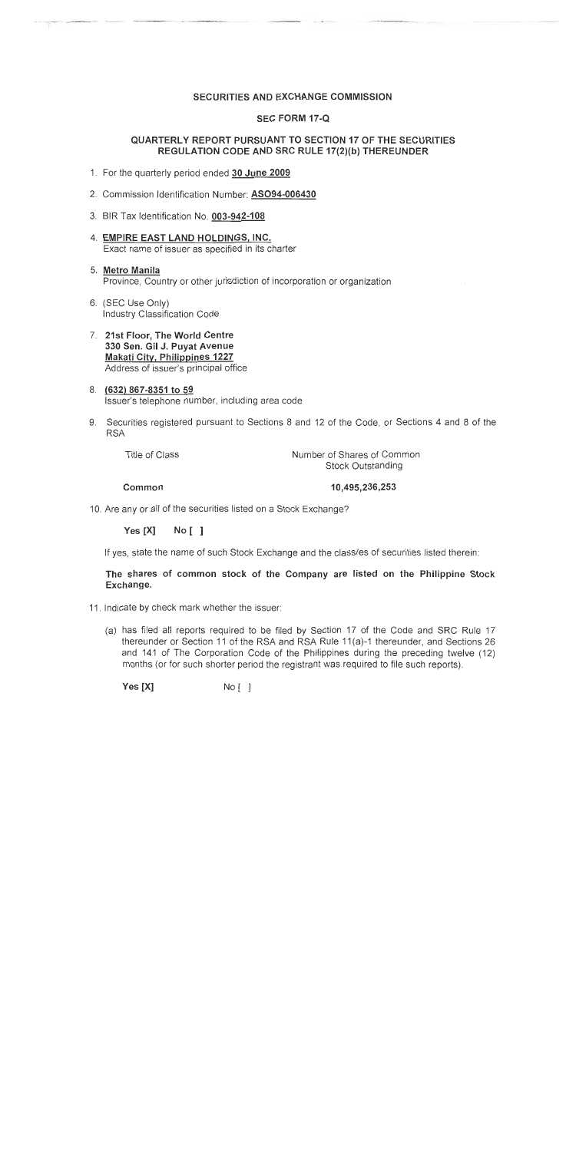#### SECURITIES AND EXCHANGE COMMISSION

#### **SEC FORM 17-Q**

#### QUARTERLY REPORT PURSUANT TO SECTION 17 OF THE SECURITIES REGULATION CODE AND SRC RULE 17(2)(b) THEREUNDER

- 1. For the quarterly period ended 30 June 2009
- 2. Commission Identification Number: ASO94-006430
- 3. BIR Tax Identification No. 003-942-108
- 4. EMPIRE EAST LAND HOLDINGS, INC. Exact name of issuer as specified in its charter
- 5. Metro Manila Province, Country or other jurisdiction of incorporation or organization
- 6. (SEC Use Only) Industry Classification Code
- 7. 21st Floor, The World Centre 330 Sen. Gil J. Puyat Avenue **Makati City, Philippines 1227** Address of issuer's principal office
- 8. (632) 867-8351 to 59 Issuer's telephone number, including area code
- 9. Securities registered pursuant to Sections 8 and 12 of the Code, or Sections 4 and 8 of the **RSA**

**Title of Class** 

Number of Shares of Common **Stock Outstanding** 

Common

10,495,236,253

10. Are any or all of the securities listed on a Stock Exchange?

Yes [X]  $No [ ]$ 

If yes, state the name of such Stock Exchange and the class/es of securities listed therein:

The shares of common stock of the Company are listed on the Philippine Stock Exchange.

- 11. Indicate by check mark whether the issuer:
	- (a) has filed all reports required to be filed by Section 17 of the Code and SRC Rule 17 thereunder or Section 11 of the RSA and RSA Rule 11(a)-1 thereunder, and Sections 26 and 141 of The Corporation Code of the Philippines during the preceding twelve (12) months (or for such shorter period the registrant was required to file such reports).

Yes [X]  $No [ ]$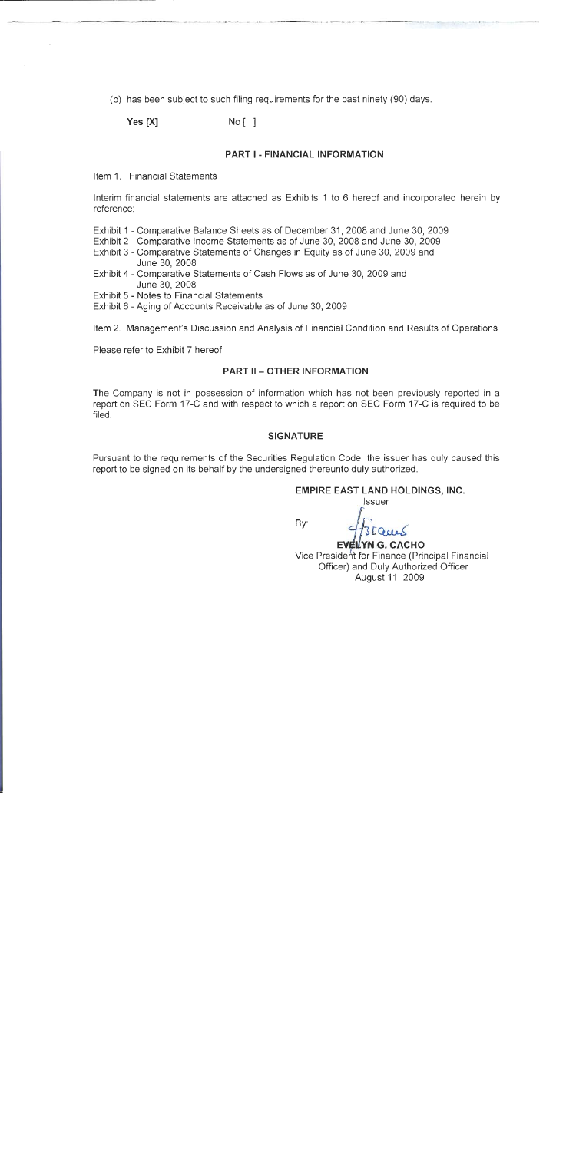(b) has been subject to such filing requirements for the past ninety (90) days.

Yes [X]  $No<sub>1</sub>1$ 

#### PART I - FINANCIAI INFORMATION

Item 1 Financial Statements

Interim financial statements are attached as Exhibits 1 to 6 hereof and incorporated herein by reference:

Exhibit 1 - Comparative Balance Sheets as of December 31, 2008 and June 30, 2009

Exhibit 2 - Comparative Income Statements as of June 30, 2008 and June 30, 2009

- Exhibit 3 Comparative Statements of Changes in Equity as of June 30, 2009 and June 30, 2008
- Exhibit 4 Comparative Statements of Cash Flows as of June 30, 2009 and June 30, 2008

Exhibit 5 - Notes to Financial Statements

Exhibit 6 - Aging of Accounts Receivable as of June 30, 2009

Item 2. Management's Discussion and Analysis of Financial Condition and Results of Operations

Please refer to Exhibit 7 hereof.

#### **PART II - OTHER INFORMATION**

The Company is not in possession of information which has not been previously reported in a report on SEC Form 17-C and with respect to which a report on SEC Form 17-C is required to be filed.

#### **SIGNATURE**

Pursuant to the requirements of the Securities Regulation Code, the issuer has duly caused this report to be signed on its behalf by the undersigned thereunto duly authorized.

#### **EMPIRE EAST LAND HOLDINGS, INC.**

**Issuer** 

By:

**EVELYN G. CACHO** Vice President for Finance (Principal Financial Officer) and Duly Authorized Officer August 11, 2009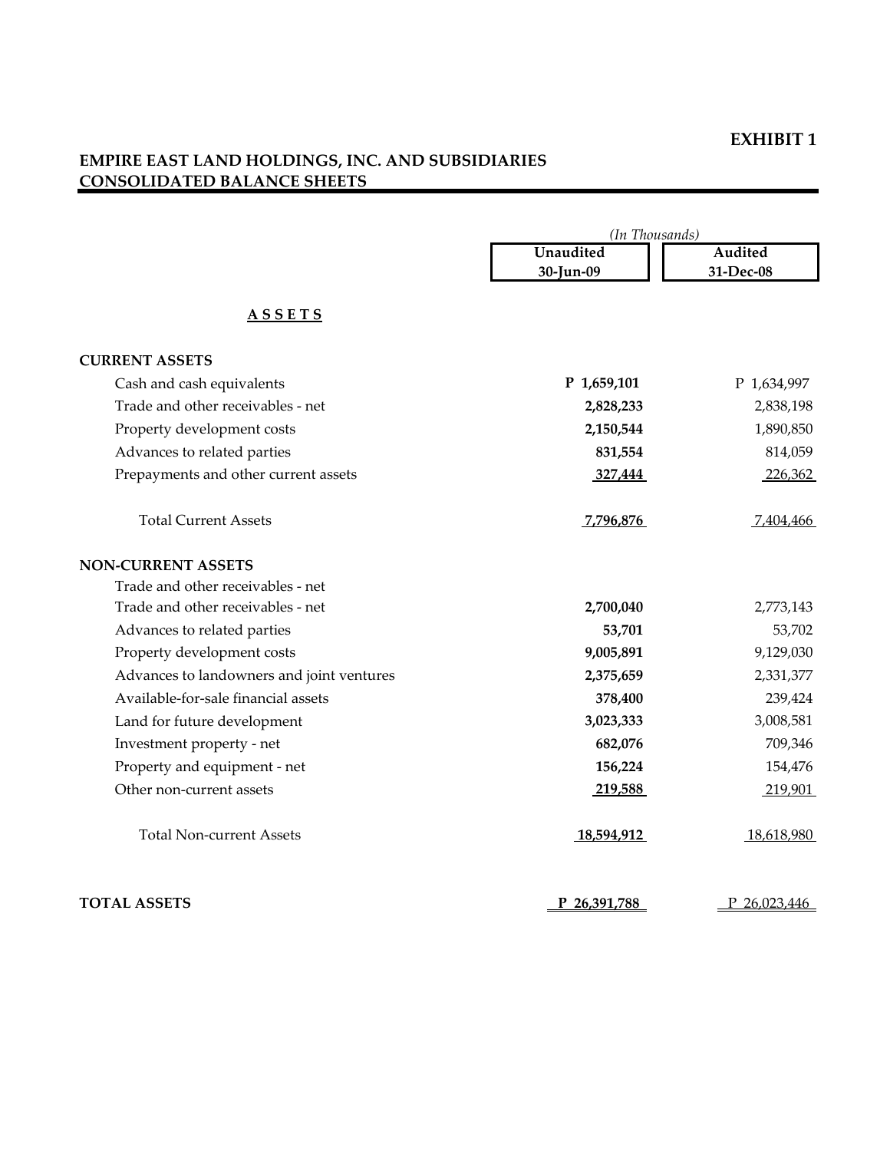#### **EXHIBIT 1**

# **EMPIRE EAST LAND HOLDINGS, INC. AND SUBSIDIARIES CONSOLIDATED BALANCE SHEETS**

|                                           | (In Thousands) |              |  |
|-------------------------------------------|----------------|--------------|--|
|                                           | Unaudited      | Audited      |  |
|                                           | 30-Jun-09      | 31-Dec-08    |  |
| <b>ASSETS</b>                             |                |              |  |
| <b>CURRENT ASSETS</b>                     |                |              |  |
| Cash and cash equivalents                 | P 1,659,101    | P 1,634,997  |  |
| Trade and other receivables - net         | 2,828,233      | 2,838,198    |  |
| Property development costs                | 2,150,544      | 1,890,850    |  |
| Advances to related parties               | 831,554        | 814,059      |  |
| Prepayments and other current assets      | 327,444        | 226,362      |  |
| <b>Total Current Assets</b>               | 7,796,876      | 7,404,466    |  |
| <b>NON-CURRENT ASSETS</b>                 |                |              |  |
| Trade and other receivables - net         |                |              |  |
| Trade and other receivables - net         | 2,700,040      | 2,773,143    |  |
| Advances to related parties               | 53,701         | 53,702       |  |
| Property development costs                | 9,005,891      | 9,129,030    |  |
| Advances to landowners and joint ventures | 2,375,659      | 2,331,377    |  |
| Available-for-sale financial assets       | 378,400        | 239,424      |  |
| Land for future development               | 3,023,333      | 3,008,581    |  |
| Investment property - net                 | 682,076        | 709,346      |  |
| Property and equipment - net              | 156,224        | 154,476      |  |
| Other non-current assets                  | 219,588        | 219,901      |  |
| <b>Total Non-current Assets</b>           | 18,594,912     | 18,618,980   |  |
| <b>TOTAL ASSETS</b>                       | P 26,391,788   | P 26,023,446 |  |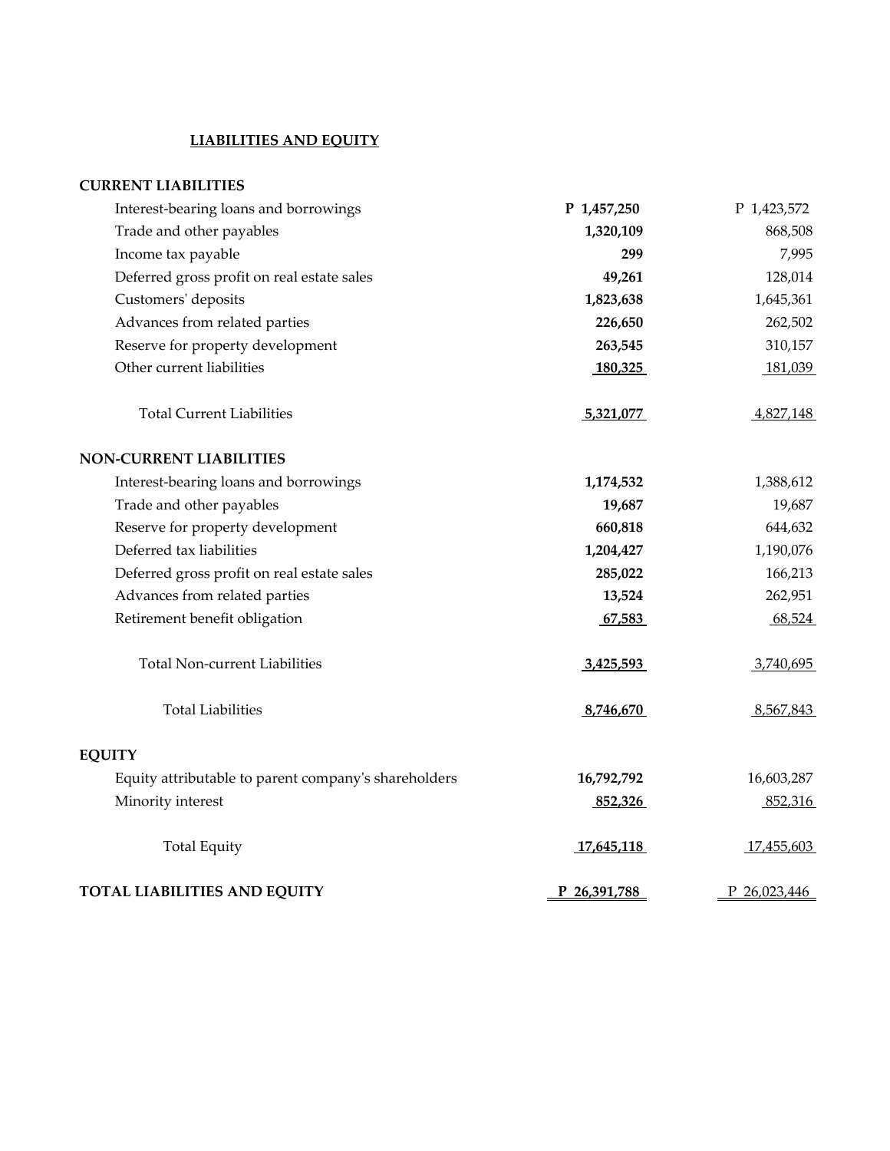#### **LIABILITIES AND EQUITY**

#### **CURRENT LIABILITIES**

| Interest-bearing loans and borrowings                | P 1,457,250  | P 1,423,572  |
|------------------------------------------------------|--------------|--------------|
| Trade and other payables                             | 1,320,109    | 868,508      |
| Income tax payable                                   | 299          | 7,995        |
| Deferred gross profit on real estate sales           | 49,261       | 128,014      |
| Customers' deposits                                  | 1,823,638    | 1,645,361    |
| Advances from related parties                        | 226,650      | 262,502      |
| Reserve for property development                     | 263,545      | 310,157      |
| Other current liabilities                            | 180,325      | 181,039      |
| <b>Total Current Liabilities</b>                     | 5,321,077    | 4,827,148    |
| <b>NON-CURRENT LIABILITIES</b>                       |              |              |
| Interest-bearing loans and borrowings                | 1,174,532    | 1,388,612    |
| Trade and other payables                             | 19,687       | 19,687       |
| Reserve for property development                     | 660,818      | 644,632      |
| Deferred tax liabilities                             | 1,204,427    | 1,190,076    |
| Deferred gross profit on real estate sales           | 285,022      | 166,213      |
| Advances from related parties                        | 13,524       | 262,951      |
| Retirement benefit obligation                        | 67,583       | 68,524       |
| <b>Total Non-current Liabilities</b>                 | 3,425,593    | 3,740,695    |
| <b>Total Liabilities</b>                             | 8,746,670    | 8,567,843    |
| EQUITY                                               |              |              |
| Equity attributable to parent company's shareholders | 16,792,792   | 16,603,287   |
| Minority interest                                    | 852,326      | 852,316      |
| <b>Total Equity</b>                                  | 17,645,118   | 17,455,603   |
| <b>TOTAL LIABILITIES AND EQUITY</b>                  | P 26,391,788 | P 26,023,446 |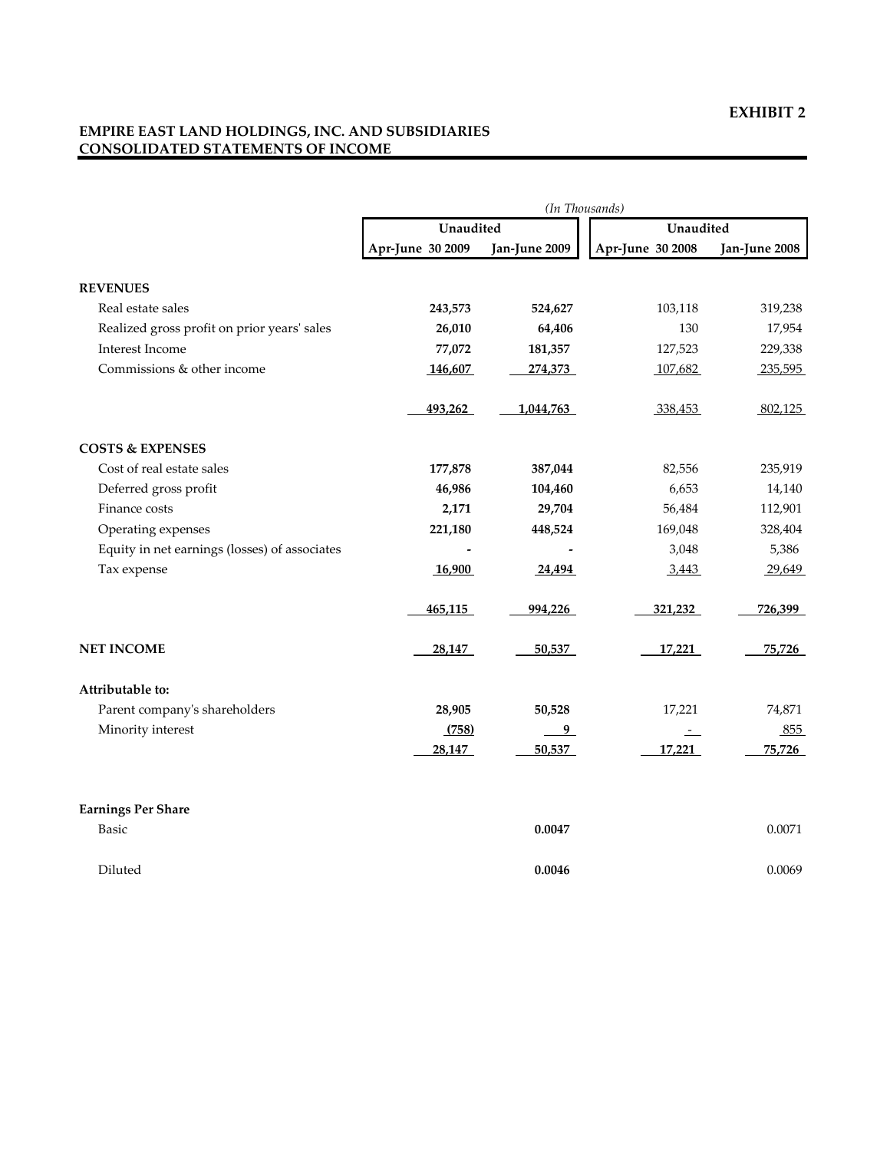#### **EMPIRE EAST LAND HOLDINGS, INC. AND SUBSIDIARIES CONSOLIDATED STATEMENTS OF INCOME**

|                                               | (In Thousands)   |               |                  |               |  |
|-----------------------------------------------|------------------|---------------|------------------|---------------|--|
|                                               | Unaudited        |               | Unaudited        |               |  |
|                                               | Apr-June 30 2009 | Jan-June 2009 | Apr-June 30 2008 | Jan-June 2008 |  |
| <b>REVENUES</b>                               |                  |               |                  |               |  |
| Real estate sales                             | 243,573          | 524,627       | 103,118          | 319,238       |  |
| Realized gross profit on prior years' sales   | 26,010           | 64,406        | 130              | 17,954        |  |
| Interest Income                               | 77,072           | 181,357       | 127,523          | 229,338       |  |
| Commissions & other income                    | 146,607          | 274,373       | 107,682          | 235,595       |  |
|                                               | 493,262          | 1,044,763     | 338,453          | 802,125       |  |
| <b>COSTS &amp; EXPENSES</b>                   |                  |               |                  |               |  |
| Cost of real estate sales                     | 177,878          | 387,044       | 82,556           | 235,919       |  |
| Deferred gross profit                         | 46,986           | 104,460       | 6,653            | 14,140        |  |
| Finance costs                                 | 2,171            | 29,704        | 56,484           | 112,901       |  |
| Operating expenses                            | 221,180          | 448,524       | 169,048          | 328,404       |  |
| Equity in net earnings (losses) of associates |                  |               | 3,048            | 5,386         |  |
| Tax expense                                   | 16,900           | 24,494        | 3,443            | 29,649        |  |
|                                               | 465,115          | 994,226       | 321,232          | 726,399       |  |
| <b>NET INCOME</b>                             | 28,147           | 50,537        | 17,221           | 75,726        |  |
| Attributable to:                              |                  |               |                  |               |  |
| Parent company's shareholders                 | 28,905           | 50,528        | 17,221           | 74,871        |  |
| Minority interest                             | (758)            | 9             | $-$              | 855           |  |
|                                               | 28,147           | 50,537        | 17,221           | 75,726        |  |
| <b>Earnings Per Share</b>                     |                  |               |                  |               |  |
| Basic                                         |                  | 0.0047        |                  | 0.0071        |  |
| Diluted                                       |                  | 0.0046        |                  | 0.0069        |  |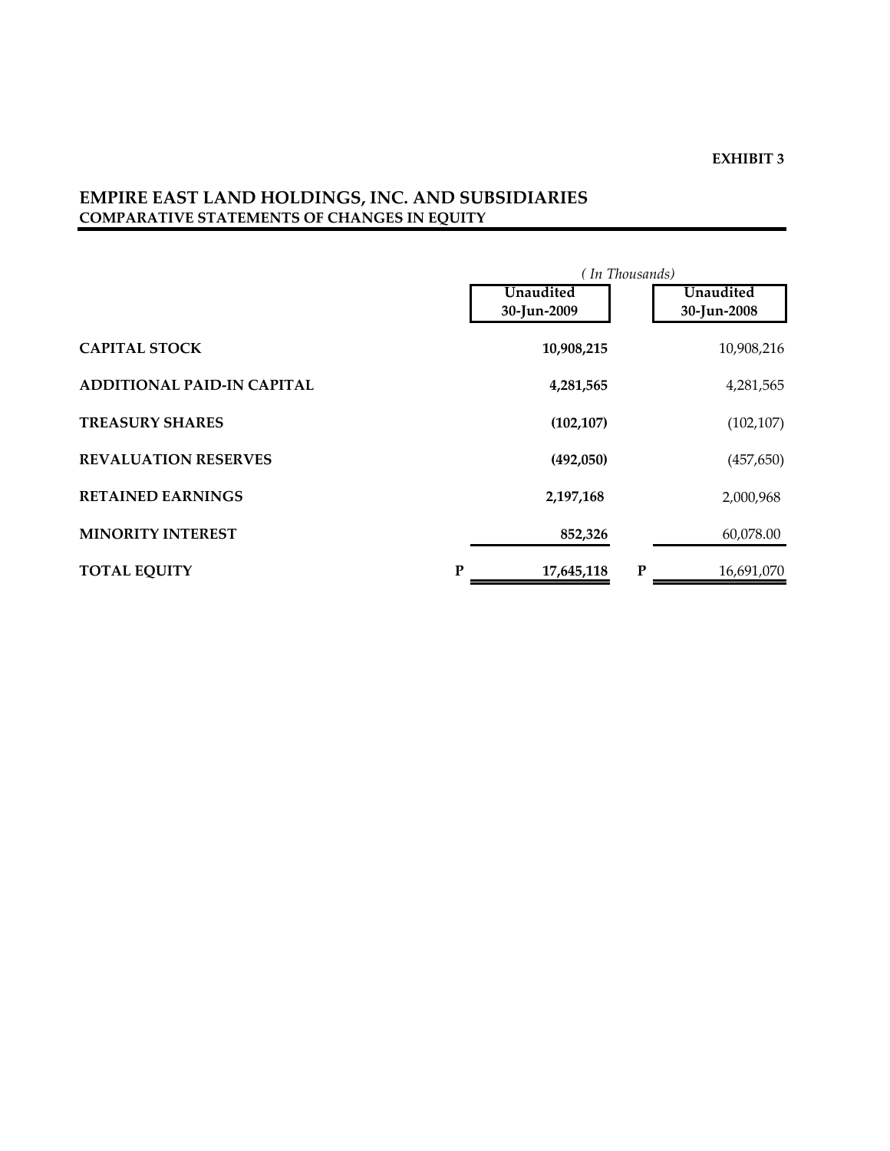# **EMPIRE EAST LAND HOLDINGS, INC. AND SUBSIDIARIES COMPARATIVE STATEMENTS OF CHANGES IN EQUITY**

|                                   | (In Thousands) |   |             |
|-----------------------------------|----------------|---|-------------|
|                                   | Unaudited      |   | Unaudited   |
|                                   | 30-Jun-2009    |   | 30-Jun-2008 |
| <b>CAPITAL STOCK</b>              | 10,908,215     |   | 10,908,216  |
| <b>ADDITIONAL PAID-IN CAPITAL</b> | 4,281,565      |   | 4,281,565   |
| <b>TREASURY SHARES</b>            | (102, 107)     |   | (102, 107)  |
| <b>REVALUATION RESERVES</b>       | (492,050)      |   | (457, 650)  |
| <b>RETAINED EARNINGS</b>          | 2,197,168      |   | 2,000,968   |
| <b>MINORITY INTEREST</b>          | 852,326        |   | 60,078.00   |
| <b>TOTAL EQUITY</b><br>P          | 17,645,118     | P | 16,691,070  |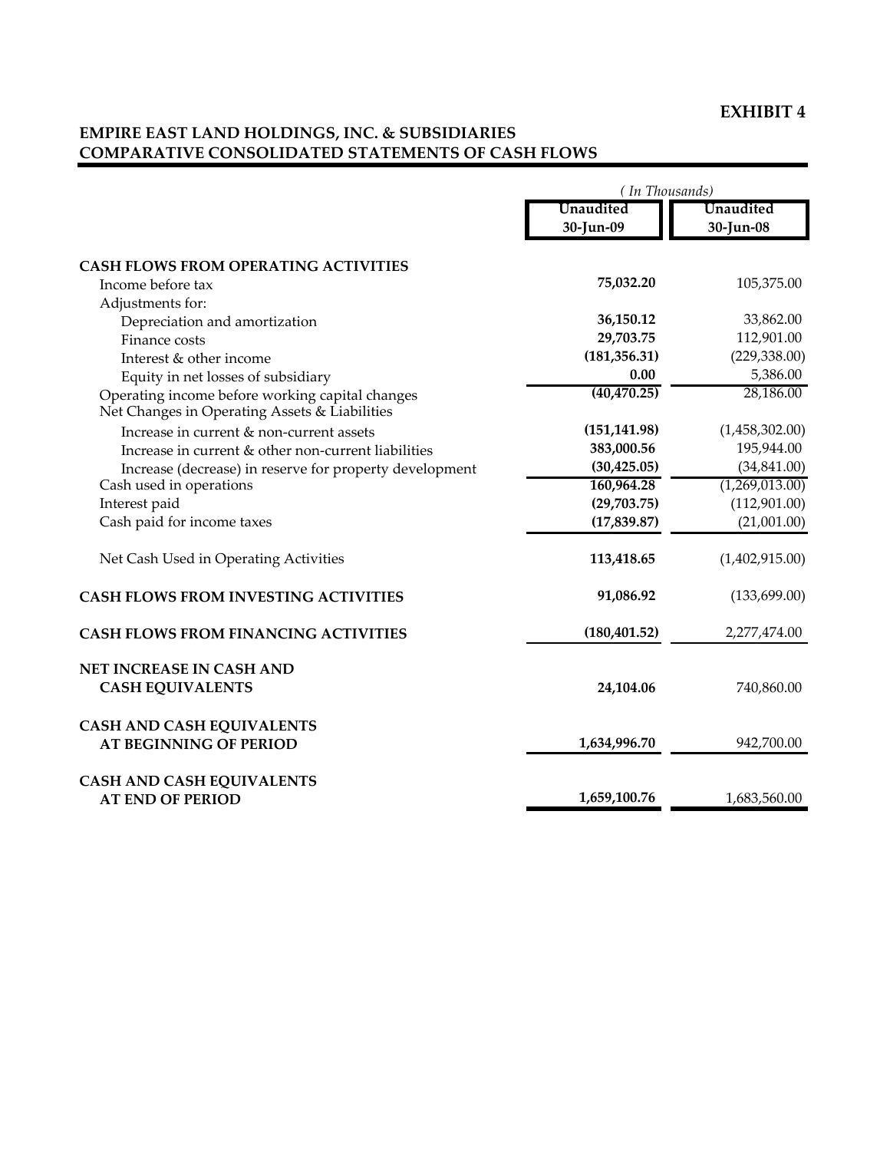### **EXHIBIT 4**

### **EMPIRE EAST LAND HOLDINGS, INC. & SUBSIDIARIES COMPARATIVE CONSOLIDATED STATEMENTS OF CASH FLOWS**

|                                                                                                  | (In Thousands)         |                        |  |
|--------------------------------------------------------------------------------------------------|------------------------|------------------------|--|
|                                                                                                  | Unaudited<br>30-Jun-09 | Unaudited<br>30-Jun-08 |  |
| <b>CASH FLOWS FROM OPERATING ACTIVITIES</b>                                                      |                        |                        |  |
| Income before tax                                                                                | 75,032.20              | 105,375.00             |  |
| Adjustments for:                                                                                 |                        |                        |  |
| Depreciation and amortization                                                                    | 36,150.12              | 33,862.00              |  |
| Finance costs                                                                                    | 29,703.75              | 112,901.00             |  |
| Interest & other income                                                                          | (181, 356.31)          | (229, 338.00)          |  |
| Equity in net losses of subsidiary                                                               | 0.00                   | 5,386.00               |  |
| Operating income before working capital changes<br>Net Changes in Operating Assets & Liabilities | (40, 470.25)           | 28,186.00              |  |
| Increase in current & non-current assets                                                         | (151, 141.98)          | (1,458,302.00)         |  |
| Increase in current & other non-current liabilities                                              | 383,000.56             | 195,944.00             |  |
| Increase (decrease) in reserve for property development                                          | (30, 425.05)           | (34, 841.00)           |  |
| Cash used in operations                                                                          | 160,964.28             | (1,269,013.00)         |  |
| Interest paid                                                                                    | (29,703.75)            | (112,901.00)           |  |
| Cash paid for income taxes                                                                       | (17, 839.87)           | (21,001.00)            |  |
| Net Cash Used in Operating Activities                                                            | 113,418.65             | (1,402,915.00)         |  |
| <b>CASH FLOWS FROM INVESTING ACTIVITIES</b>                                                      | 91,086.92              | (133,699.00)           |  |
| <b>CASH FLOWS FROM FINANCING ACTIVITIES</b>                                                      | (180, 401.52)          | 2,277,474.00           |  |
| NET INCREASE IN CASH AND                                                                         |                        |                        |  |
| <b>CASH EQUIVALENTS</b>                                                                          | 24,104.06              | 740,860.00             |  |
| <b>CASH AND CASH EQUIVALENTS</b>                                                                 |                        |                        |  |
| <b>AT BEGINNING OF PERIOD</b>                                                                    | 1,634,996.70           | 942,700.00             |  |
| <b>CASH AND CASH EQUIVALENTS</b>                                                                 |                        |                        |  |
| <b>AT END OF PERIOD</b>                                                                          | 1,659,100.76           | 1,683,560.00           |  |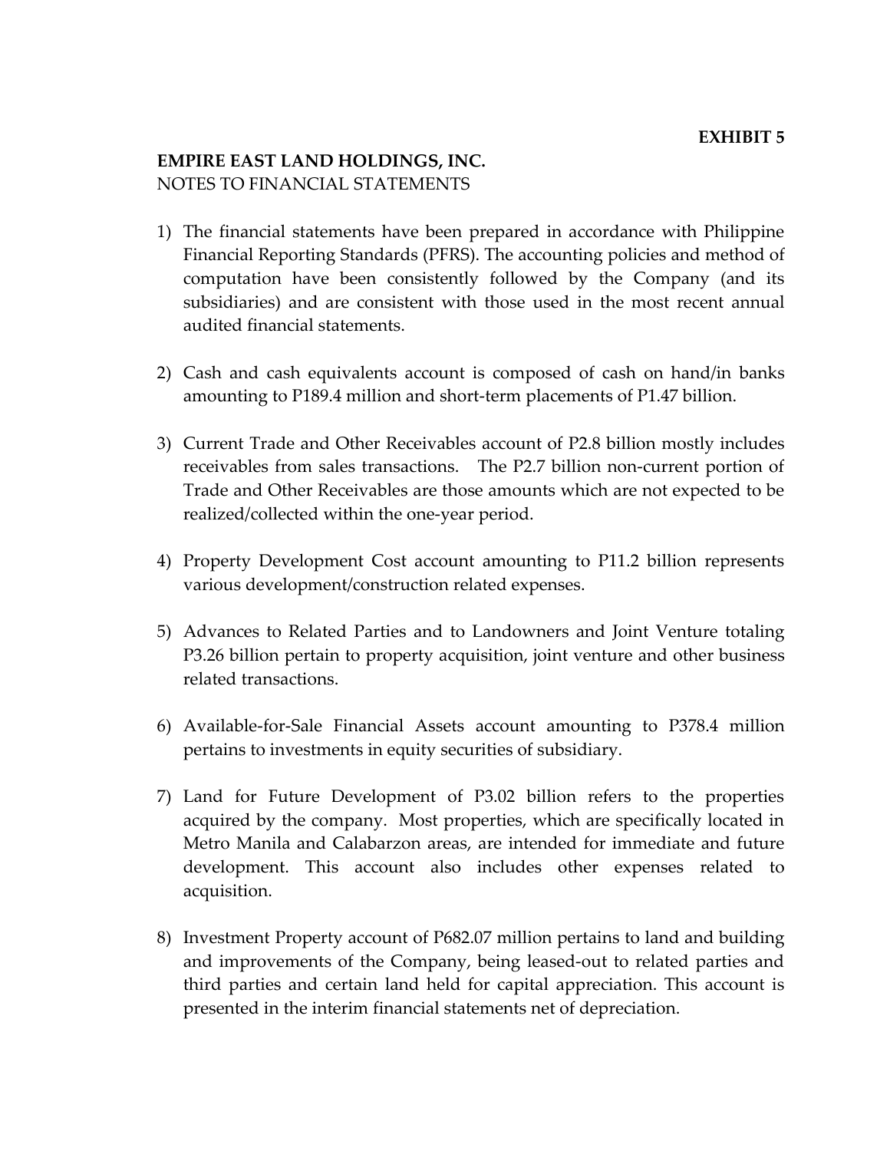# **EMPIRE EAST LAND HOLDINGS, INC.** NOTES TO FINANCIAL STATEMENTS

- 1) The financial statements have been prepared in accordance with Philippine Financial Reporting Standards (PFRS). The accounting policies and method of computation have been consistently followed by the Company (and its subsidiaries) and are consistent with those used in the most recent annual audited financial statements.
- 2) Cash and cash equivalents account is composed of cash on hand/in banks amounting to P189.4 million and short-term placements of P1.47 billion.
- 3) Current Trade and Other Receivables account of P2.8 billion mostly includes receivables from sales transactions. The P2.7 billion non-current portion of Trade and Other Receivables are those amounts which are not expected to be realized/collected within the one-year period.
- 4) Property Development Cost account amounting to P11.2 billion represents various development/construction related expenses.
- 5) Advances to Related Parties and to Landowners and Joint Venture totaling P3.26 billion pertain to property acquisition, joint venture and other business related transactions.
- 6) Available-for-Sale Financial Assets account amounting to P378.4 million pertains to investments in equity securities of subsidiary.
- 7) Land for Future Development of P3.02 billion refers to the properties acquired by the company. Most properties, which are specifically located in Metro Manila and Calabarzon areas, are intended for immediate and future development. This account also includes other expenses related to acquisition.
- 8) Investment Property account of P682.07 million pertains to land and building and improvements of the Company, being leased-out to related parties and third parties and certain land held for capital appreciation. This account is presented in the interim financial statements net of depreciation.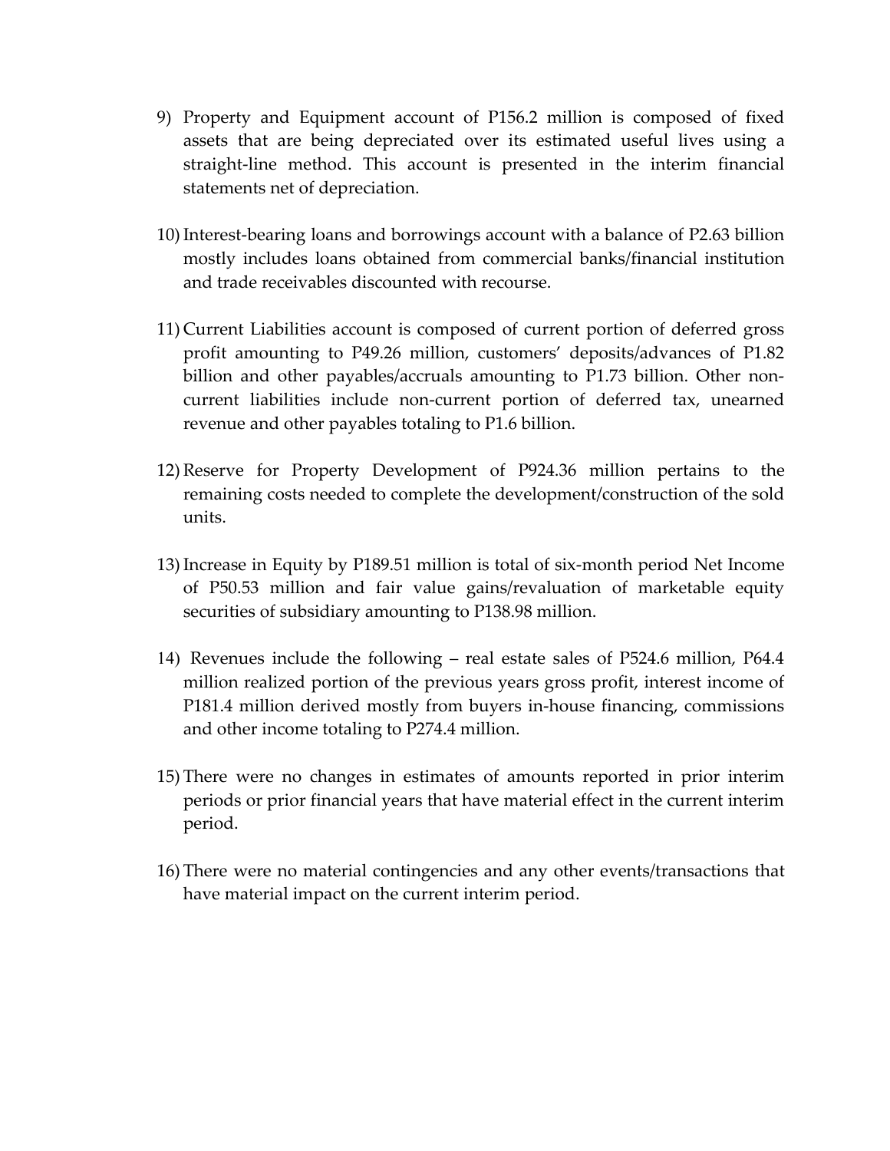- 9) Property and Equipment account of P156.2 million is composed of fixed assets that are being depreciated over its estimated useful lives using a straight-line method. This account is presented in the interim financial statements net of depreciation.
- 10)Interest-bearing loans and borrowings account with a balance of P2.63 billion mostly includes loans obtained from commercial banks/financial institution and trade receivables discounted with recourse.
- 11) Current Liabilities account is composed of current portion of deferred gross profit amounting to P49.26 million, customers' deposits/advances of P1.82 billion and other payables/accruals amounting to P1.73 billion. Other noncurrent liabilities include non-current portion of deferred tax, unearned revenue and other payables totaling to P1.6 billion.
- 12) Reserve for Property Development of P924.36 million pertains to the remaining costs needed to complete the development/construction of the sold units.
- 13)Increase in Equity by P189.51 million is total of six-month period Net Income of P50.53 million and fair value gains/revaluation of marketable equity securities of subsidiary amounting to P138.98 million.
- 14) Revenues include the following real estate sales of P524.6 million, P64.4 million realized portion of the previous years gross profit, interest income of P181.4 million derived mostly from buyers in-house financing, commissions and other income totaling to P274.4 million.
- 15) There were no changes in estimates of amounts reported in prior interim periods or prior financial years that have material effect in the current interim period.
- 16) There were no material contingencies and any other events/transactions that have material impact on the current interim period.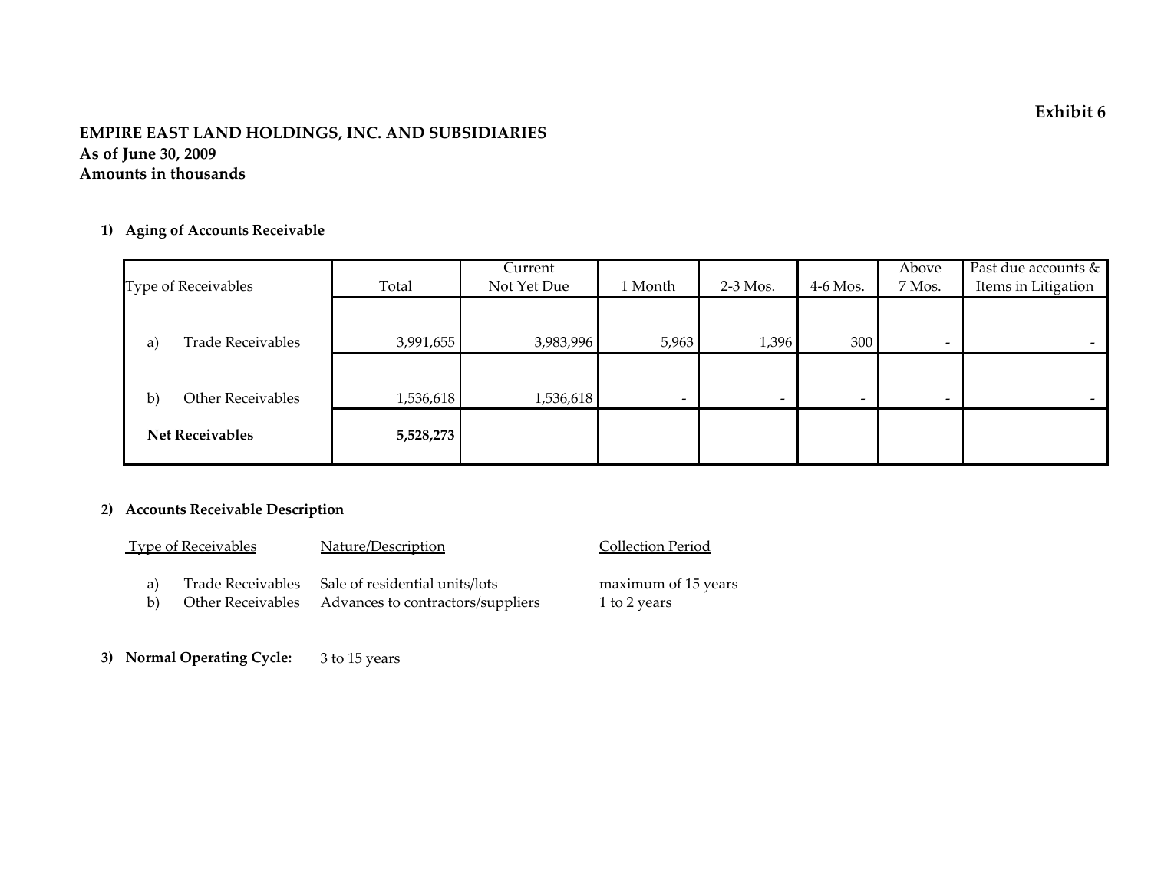**Exhibit 6**

#### **EMPIRE EAST LAND HOLDINGS, INC. AND SUBSIDIARIES As of June 30, 2009 Amounts in thousands**

#### **1) Aging of Accounts Receivable**

| Type of Receivables               | Total     | Current<br>Not Yet Due | 1 Month                  | $2-3$ Mos.               | 4-6 Mos.                 | Above<br>7 Mos.          | Past due accounts &<br>Items in Litigation |
|-----------------------------------|-----------|------------------------|--------------------------|--------------------------|--------------------------|--------------------------|--------------------------------------------|
|                                   |           |                        |                          |                          |                          |                          |                                            |
|                                   |           |                        |                          |                          |                          |                          |                                            |
| <b>Trade Receivables</b><br>a)    | 3,991,655 | 3,983,996              | 5,963                    | 1,396                    | 300                      | $\overline{\phantom{0}}$ |                                            |
|                                   |           |                        |                          |                          |                          |                          |                                            |
|                                   |           |                        |                          |                          |                          |                          |                                            |
| Other Receivables<br>$\mathbf{b}$ | 1,536,618 | 1,536,618              | $\overline{\phantom{0}}$ | $\overline{\phantom{0}}$ | $\overline{\phantom{0}}$ | $\overline{\phantom{0}}$ |                                            |
| <b>Net Receivables</b>            | 5,528,273 |                        |                          |                          |                          |                          |                                            |
|                                   |           |                        |                          |                          |                          |                          |                                            |

Collection Period

 $1$  to 2 years

maximum of 15 years

#### **2) Accounts Receivable Description**

|          | <b>Type of Receivables</b> | Nature/Description                                                                                      |
|----------|----------------------------|---------------------------------------------------------------------------------------------------------|
| a)<br>b) |                            | Trade Receivables Sale of residential units/lots<br>Other Receivables Advances to contractors/suppliers |

 **3) Normal Operating Cycle:** 3 to 15 years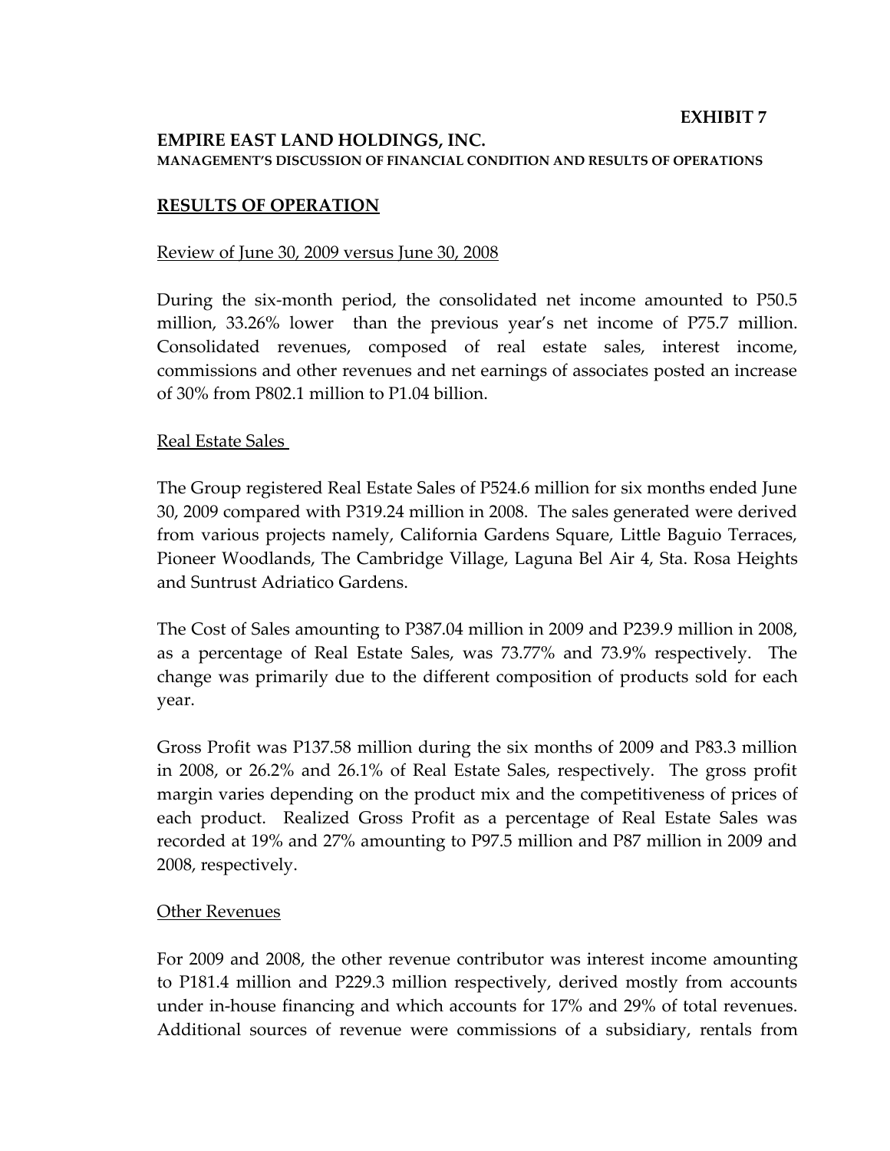#### **EXHIBIT 7**

### **EMPIRE EAST LAND HOLDINGS, INC. MANAGEMENT'S DISCUSSION OF FINANCIAL CONDITION AND RESULTS OF OPERATIONS**

#### **RESULTS OF OPERATION**

#### Review of June 30, 2009 versus June 30, 2008

During the six-month period, the consolidated net income amounted to P50.5 million, 33.26% lower than the previous year's net income of P75.7 million. Consolidated revenues, composed of real estate sales, interest income, commissions and other revenues and net earnings of associates posted an increase of 30% from P802.1 million to P1.04 billion.

#### Real Estate Sales

The Group registered Real Estate Sales of P524.6 million for six months ended June 30, 2009 compared with P319.24 million in 2008. The sales generated were derived from various projects namely, California Gardens Square, Little Baguio Terraces, Pioneer Woodlands, The Cambridge Village, Laguna Bel Air 4, Sta. Rosa Heights and Suntrust Adriatico Gardens.

The Cost of Sales amounting to P387.04 million in 2009 and P239.9 million in 2008, as a percentage of Real Estate Sales, was 73.77% and 73.9% respectively. The change was primarily due to the different composition of products sold for each year.

Gross Profit was P137.58 million during the six months of 2009 and P83.3 million in 2008, or 26.2% and 26.1% of Real Estate Sales, respectively. The gross profit margin varies depending on the product mix and the competitiveness of prices of each product. Realized Gross Profit as a percentage of Real Estate Sales was recorded at 19% and 27% amounting to P97.5 million and P87 million in 2009 and 2008, respectively.

#### Other Revenues

For 2009 and 2008, the other revenue contributor was interest income amounting to P181.4 million and P229.3 million respectively, derived mostly from accounts under in-house financing and which accounts for 17% and 29% of total revenues. Additional sources of revenue were commissions of a subsidiary, rentals from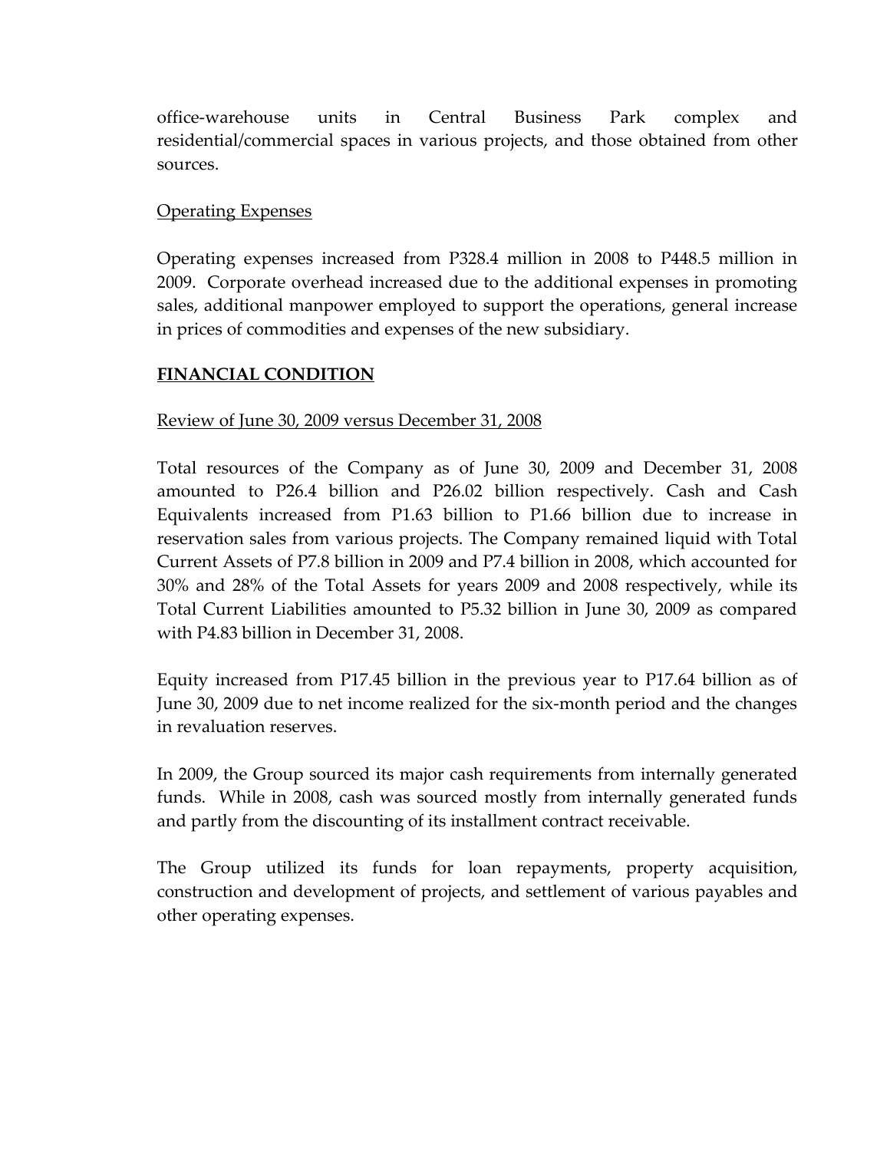office-warehouse units in Central Business Park complex and residential/commercial spaces in various projects, and those obtained from other sources.

## Operating Expenses

Operating expenses increased from P328.4 million in 2008 to P448.5 million in 2009. Corporate overhead increased due to the additional expenses in promoting sales, additional manpower employed to support the operations, general increase in prices of commodities and expenses of the new subsidiary.

### **FINANCIAL CONDITION**

# Review of June 30, 2009 versus December 31, 2008

Total resources of the Company as of June 30, 2009 and December 31, 2008 amounted to P26.4 billion and P26.02 billion respectively. Cash and Cash Equivalents increased from P1.63 billion to P1.66 billion due to increase in reservation sales from various projects. The Company remained liquid with Total Current Assets of P7.8 billion in 2009 and P7.4 billion in 2008, which accounted for 30% and 28% of the Total Assets for years 2009 and 2008 respectively, while its Total Current Liabilities amounted to P5.32 billion in June 30, 2009 as compared with P4.83 billion in December 31, 2008.

Equity increased from P17.45 billion in the previous year to P17.64 billion as of June 30, 2009 due to net income realized for the six-month period and the changes in revaluation reserves.

In 2009, the Group sourced its major cash requirements from internally generated funds. While in 2008, cash was sourced mostly from internally generated funds and partly from the discounting of its installment contract receivable.

The Group utilized its funds for loan repayments, property acquisition, construction and development of projects, and settlement of various payables and other operating expenses.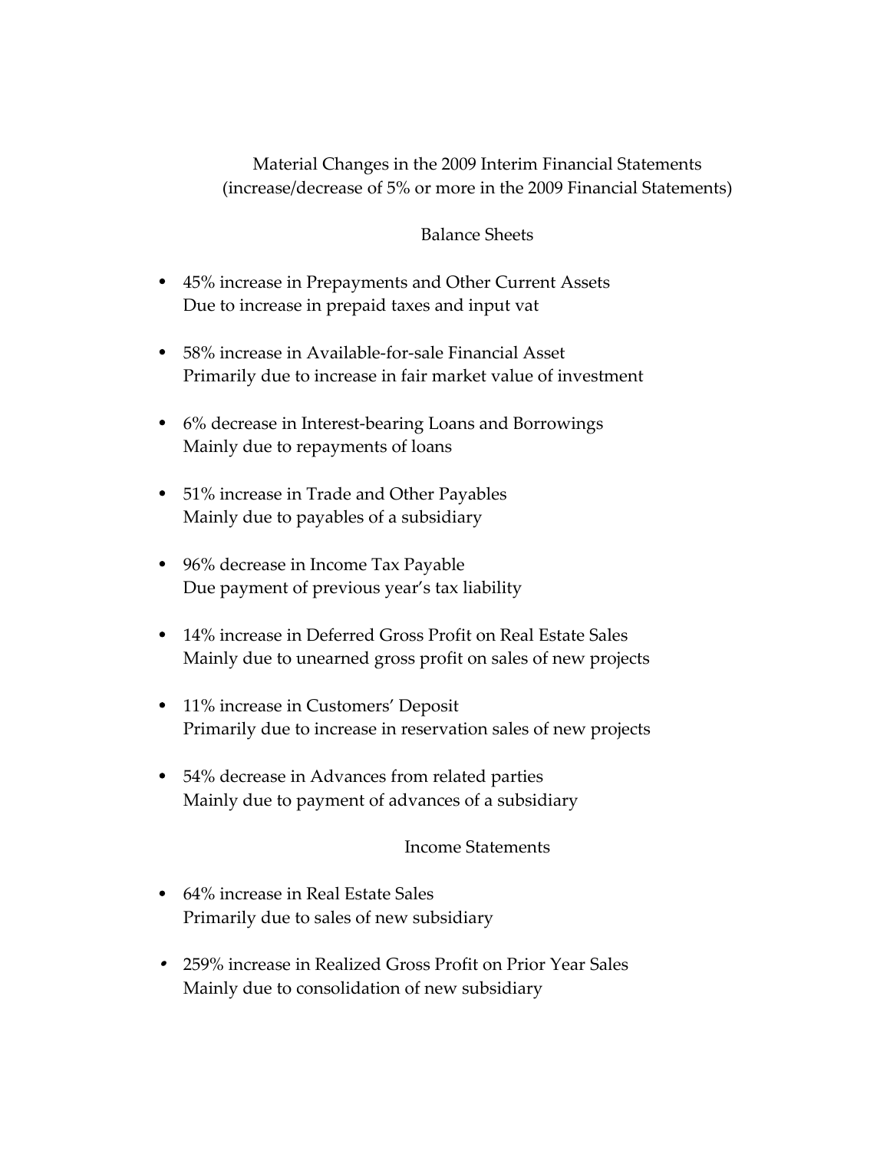Material Changes in the 2009 Interim Financial Statements (increase/decrease of 5% or more in the 2009 Financial Statements)

### Balance Sheets

- 45% increase in Prepayments and Other Current Assets Due to increase in prepaid taxes and input vat
- 58% increase in Available-for-sale Financial Asset Primarily due to increase in fair market value of investment
- 6% decrease in Interest-bearing Loans and Borrowings Mainly due to repayments of loans
- 51% increase in Trade and Other Payables Mainly due to payables of a subsidiary
- 96% decrease in Income Tax Payable Due payment of previous year's tax liability
- 14% increase in Deferred Gross Profit on Real Estate Sales Mainly due to unearned gross profit on sales of new projects
- 11% increase in Customers' Deposit Primarily due to increase in reservation sales of new projects
- 54% decrease in Advances from related parties Mainly due to payment of advances of a subsidiary

#### Income Statements

- 64% increase in Real Estate Sales Primarily due to sales of new subsidiary
- 259% increase in Realized Gross Profit on Prior Year Sales Mainly due to consolidation of new subsidiary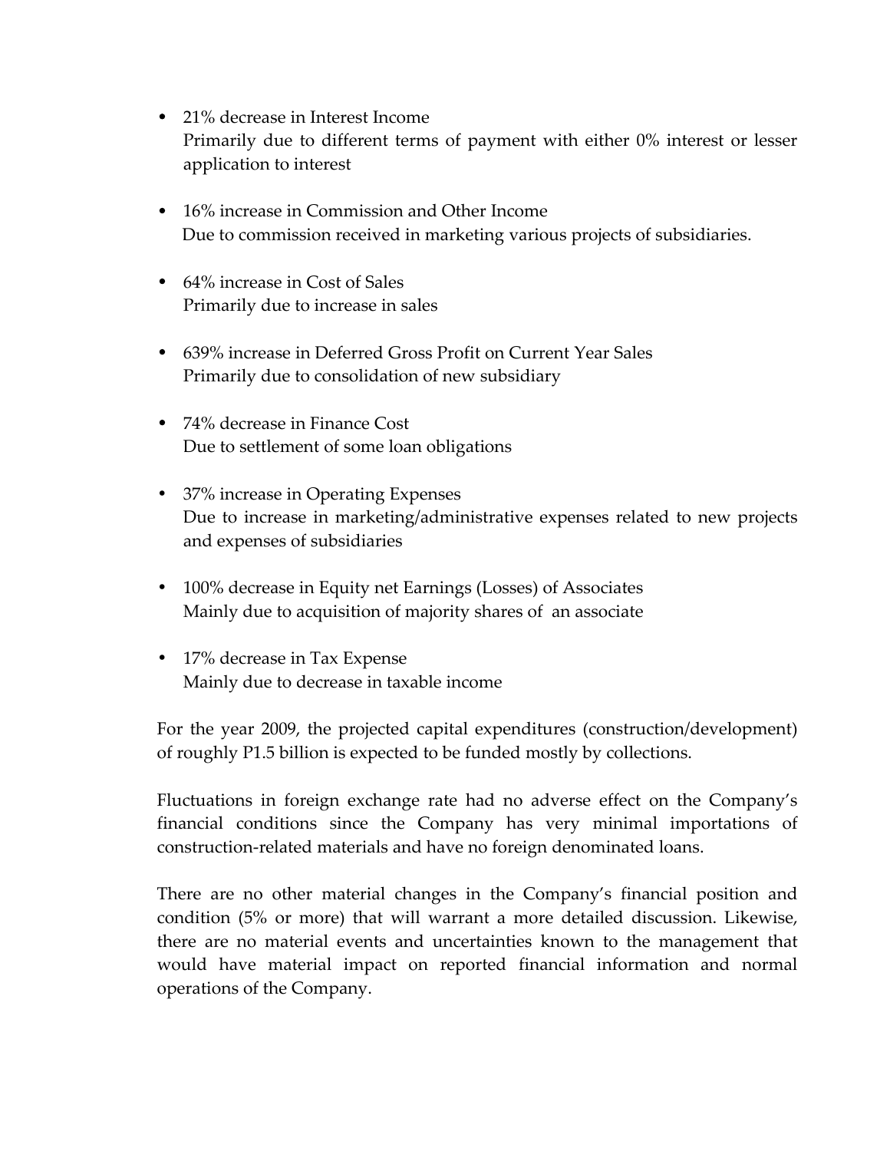- 21% decrease in Interest Income Primarily due to different terms of payment with either 0% interest or lesser application to interest
- 16% increase in Commission and Other Income Due to commission received in marketing various projects of subsidiaries.
- 64% increase in Cost of Sales Primarily due to increase in sales
- 639% increase in Deferred Gross Profit on Current Year Sales Primarily due to consolidation of new subsidiary
- 74% decrease in Finance Cost Due to settlement of some loan obligations
- 37% increase in Operating Expenses Due to increase in marketing/administrative expenses related to new projects and expenses of subsidiaries
- 100% decrease in Equity net Earnings (Losses) of Associates Mainly due to acquisition of majority shares of an associate
- 17% decrease in Tax Expense Mainly due to decrease in taxable income

For the year 2009, the projected capital expenditures (construction/development) of roughly P1.5 billion is expected to be funded mostly by collections.

Fluctuations in foreign exchange rate had no adverse effect on the Company's financial conditions since the Company has very minimal importations of construction-related materials and have no foreign denominated loans.

There are no other material changes in the Company's financial position and condition (5% or more) that will warrant a more detailed discussion. Likewise, there are no material events and uncertainties known to the management that would have material impact on reported financial information and normal operations of the Company.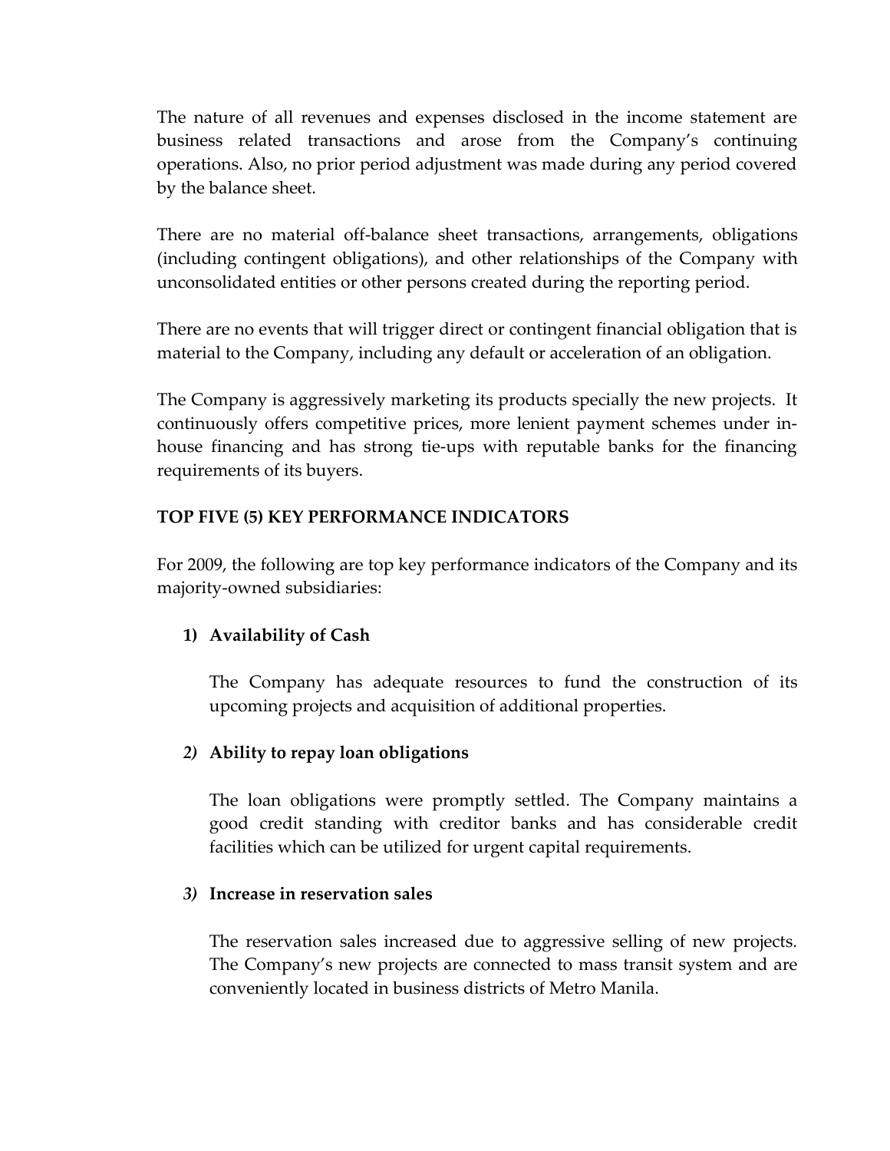The nature of all revenues and expenses disclosed in the income statement are business related transactions and arose from the Company's continuing operations. Also, no prior period adjustment was made during any period covered by the balance sheet.

There are no material off-balance sheet transactions, arrangements, obligations (including contingent obligations), and other relationships of the Company with unconsolidated entities or other persons created during the reporting period.

There are no events that will trigger direct or contingent financial obligation that is material to the Company, including any default or acceleration of an obligation.

The Company is aggressively marketing its products specially the new projects. It continuously offers competitive prices, more lenient payment schemes under inhouse financing and has strong tie-ups with reputable banks for the financing requirements of its buyers.

# **TOP FIVE (5) KEY PERFORMANCE INDICATORS**

For 2009, the following are top key performance indicators of the Company and its majority-owned subsidiaries:

# **1) Availability of Cash**

The Company has adequate resources to fund the construction of its upcoming projects and acquisition of additional properties.

# *2)* **Ability to repay loan obligations**

The loan obligations were promptly settled. The Company maintains a good credit standing with creditor banks and has considerable credit facilities which can be utilized for urgent capital requirements.

#### *3)* **Increase in reservation sales**

The reservation sales increased due to aggressive selling of new projects. The Company's new projects are connected to mass transit system and are conveniently located in business districts of Metro Manila.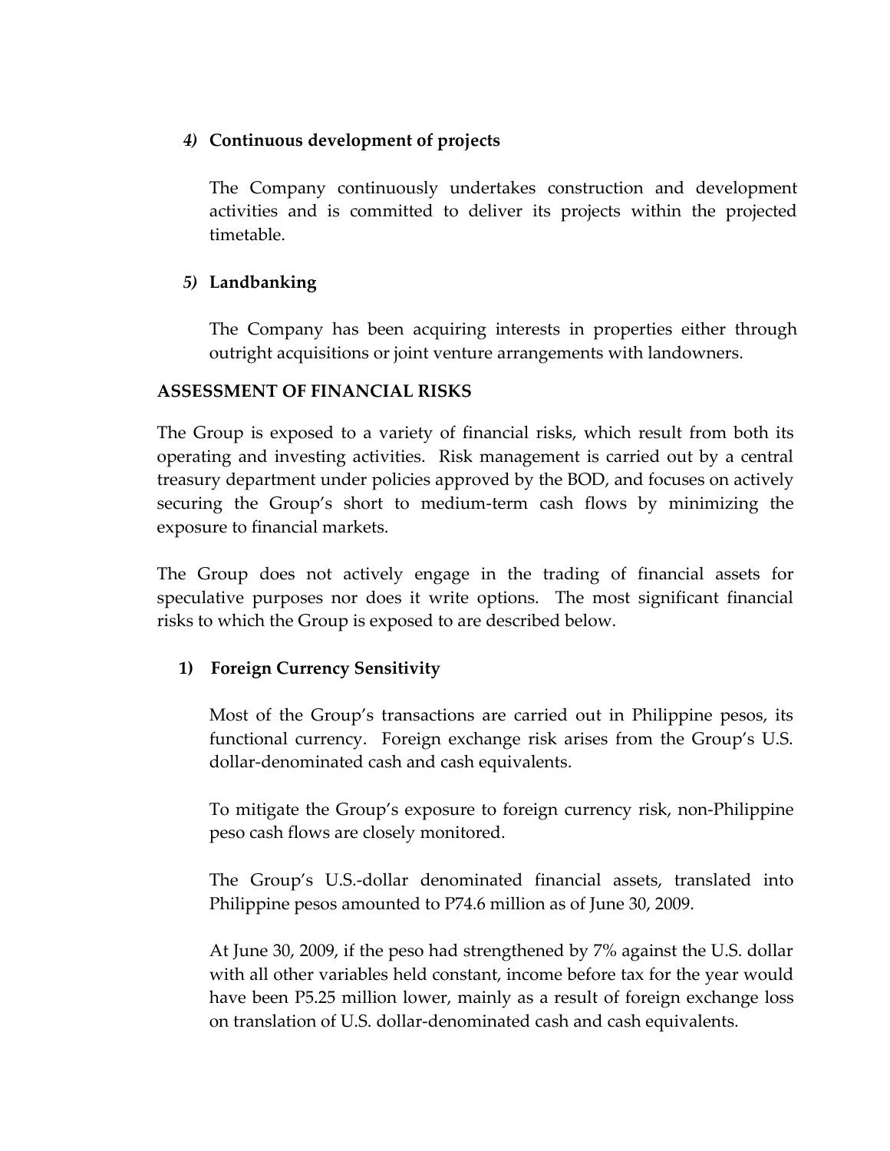# *4)* **Continuous development of projects**

The Company continuously undertakes construction and development activities and is committed to deliver its projects within the projected timetable.

# *5)* **Landbanking**

The Company has been acquiring interests in properties either through outright acquisitions or joint venture arrangements with landowners.

### **ASSESSMENT OF FINANCIAL RISKS**

The Group is exposed to a variety of financial risks, which result from both its operating and investing activities. Risk management is carried out by a central treasury department under policies approved by the BOD, and focuses on actively securing the Group's short to medium-term cash flows by minimizing the exposure to financial markets.

The Group does not actively engage in the trading of financial assets for speculative purposes nor does it write options. The most significant financial risks to which the Group is exposed to are described below.

# **1) Foreign Currency Sensitivity**

Most of the Group's transactions are carried out in Philippine pesos, its functional currency. Foreign exchange risk arises from the Group's U.S. dollar-denominated cash and cash equivalents.

To mitigate the Group's exposure to foreign currency risk, non-Philippine peso cash flows are closely monitored.

The Group's U.S.-dollar denominated financial assets, translated into Philippine pesos amounted to P74.6 million as of June 30, 2009.

At June 30, 2009, if the peso had strengthened by 7% against the U.S. dollar with all other variables held constant, income before tax for the year would have been P5.25 million lower, mainly as a result of foreign exchange loss on translation of U.S. dollar-denominated cash and cash equivalents.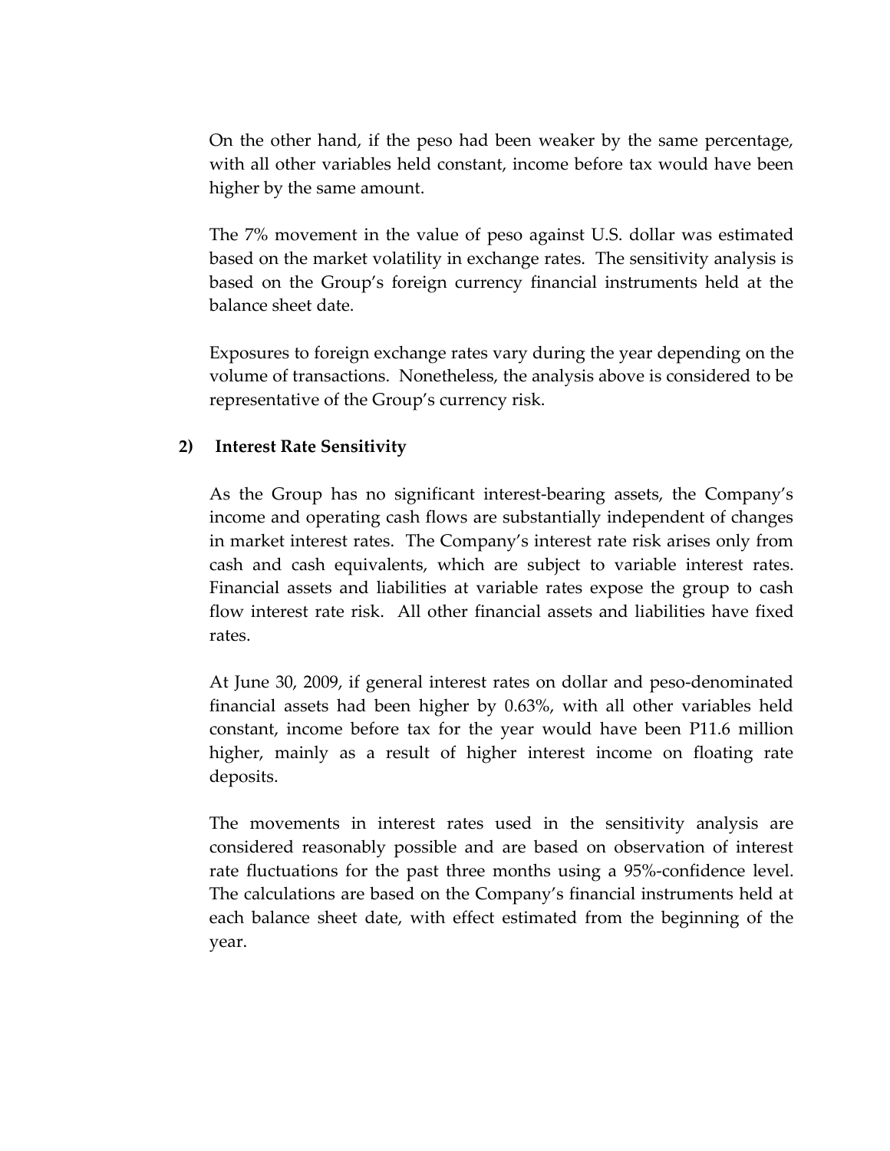On the other hand, if the peso had been weaker by the same percentage, with all other variables held constant, income before tax would have been higher by the same amount.

The 7% movement in the value of peso against U.S. dollar was estimated based on the market volatility in exchange rates. The sensitivity analysis is based on the Group's foreign currency financial instruments held at the balance sheet date.

Exposures to foreign exchange rates vary during the year depending on the volume of transactions. Nonetheless, the analysis above is considered to be representative of the Group's currency risk.

# **2) Interest Rate Sensitivity**

As the Group has no significant interest-bearing assets, the Company's income and operating cash flows are substantially independent of changes in market interest rates. The Company's interest rate risk arises only from cash and cash equivalents, which are subject to variable interest rates. Financial assets and liabilities at variable rates expose the group to cash flow interest rate risk. All other financial assets and liabilities have fixed rates.

At June 30, 2009, if general interest rates on dollar and peso-denominated financial assets had been higher by 0.63%, with all other variables held constant, income before tax for the year would have been P11.6 million higher, mainly as a result of higher interest income on floating rate deposits.

The movements in interest rates used in the sensitivity analysis are considered reasonably possible and are based on observation of interest rate fluctuations for the past three months using a 95%-confidence level. The calculations are based on the Company's financial instruments held at each balance sheet date, with effect estimated from the beginning of the year.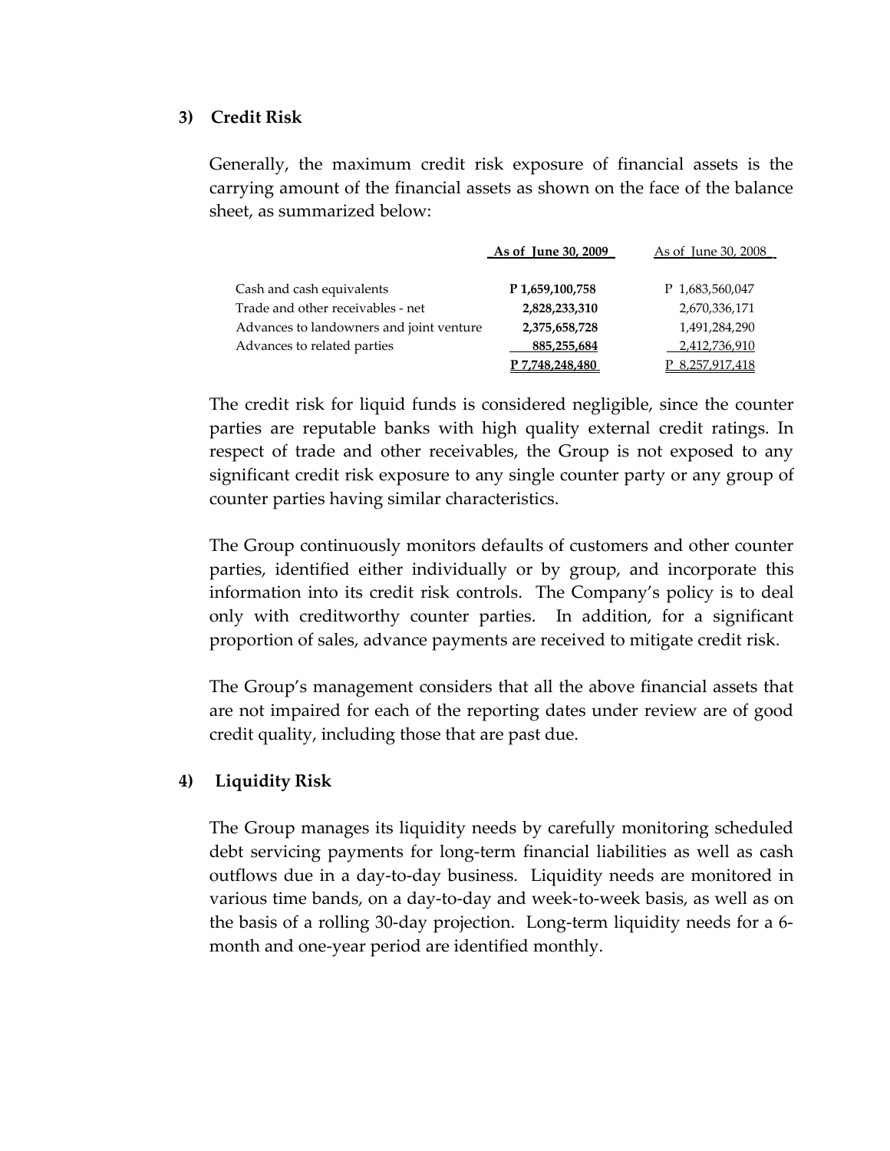#### **3) Credit Risk**

Generally, the maximum credit risk exposure of financial assets is the carrying amount of the financial assets as shown on the face of the balance sheet, as summarized below:

|                                          | As of June 30, 2009 | As of June 30, 2008 |
|------------------------------------------|---------------------|---------------------|
|                                          |                     |                     |
| Cash and cash equivalents                | P 1,659,100,758     | P 1,683,560,047     |
| Trade and other receivables - net        | 2,828,233,310       | 2,670,336,171       |
| Advances to landowners and joint venture | 2,375,658,728       | 1,491,284,290       |
| Advances to related parties              | 885,255,684         | 2,412,736,910       |
|                                          | P 7,748,248,480     | P 8,257,917,418     |

The credit risk for liquid funds is considered negligible, since the counter parties are reputable banks with high quality external credit ratings. In respect of trade and other receivables, the Group is not exposed to any significant credit risk exposure to any single counter party or any group of counter parties having similar characteristics.

The Group continuously monitors defaults of customers and other counter parties, identified either individually or by group, and incorporate this information into its credit risk controls. The Company's policy is to deal only with creditworthy counter parties. In addition, for a significant proportion of sales, advance payments are received to mitigate credit risk.

The Group's management considers that all the above financial assets that are not impaired for each of the reporting dates under review are of good credit quality, including those that are past due.

# **4) Liquidity Risk**

The Group manages its liquidity needs by carefully monitoring scheduled debt servicing payments for long-term financial liabilities as well as cash outflows due in a day-to-day business. Liquidity needs are monitored in various time bands, on a day-to-day and week-to-week basis, as well as on the basis of a rolling 30-day projection. Long-term liquidity needs for a 6 month and one-year period are identified monthly.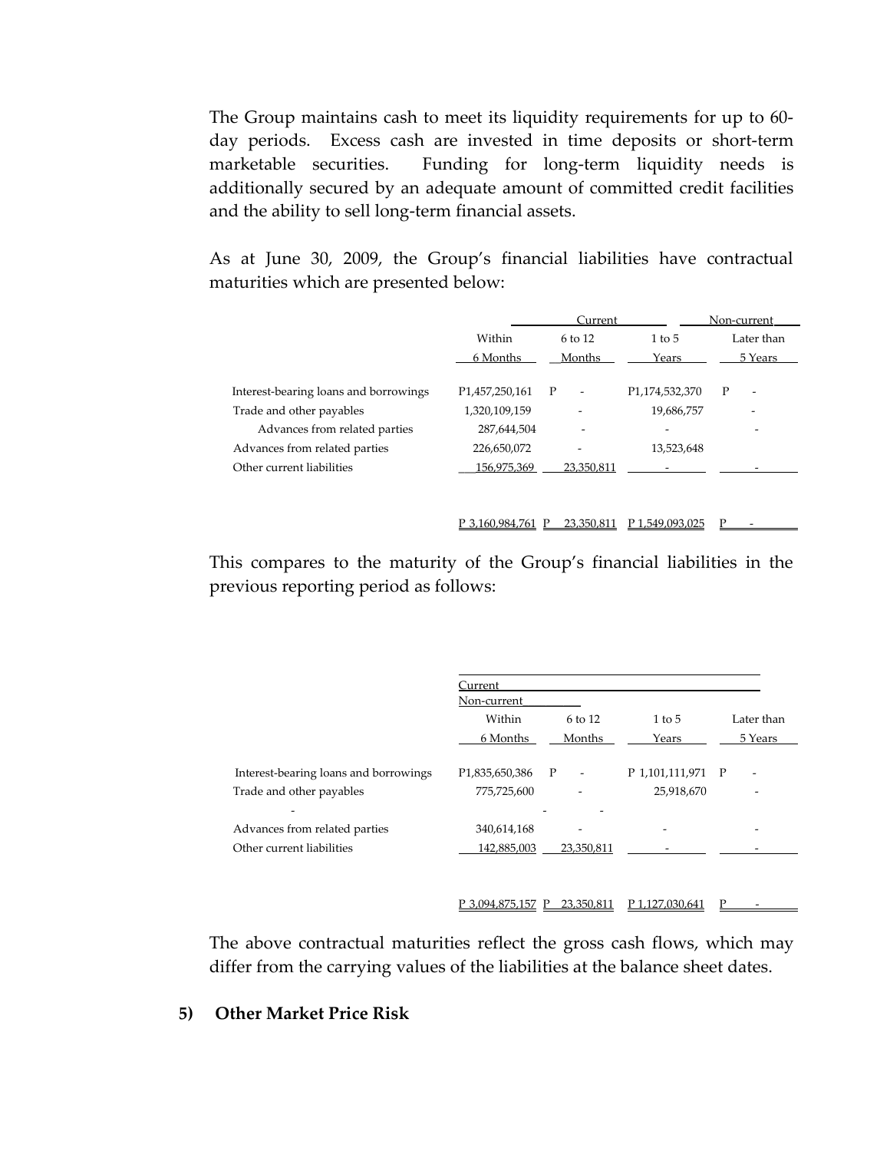The Group maintains cash to meet its liquidity requirements for up to 60 day periods. Excess cash are invested in time deposits or short-term marketable securities. Funding for long-term liquidity needs is additionally secured by an adequate amount of committed credit facilities and the ability to sell long-term financial assets.

As at June 30, 2009, the Group's financial liabilities have contractual maturities which are presented below:

|                                       |                             | Current                  |                             | Non-current                   |
|---------------------------------------|-----------------------------|--------------------------|-----------------------------|-------------------------------|
|                                       | Within                      | $6$ to 12                | $1$ to $5$                  | Later than                    |
|                                       | 6 Months                    | Months                   | Years                       | 5 Years                       |
|                                       |                             |                          |                             |                               |
| Interest-bearing loans and borrowings | P <sub>1</sub> ,457,250,161 | P<br>٠                   | P <sub>1</sub> ,174,532,370 | P<br>$\overline{\phantom{0}}$ |
| Trade and other payables              | 1,320,109,159               | $\overline{\phantom{a}}$ | 19,686,757                  |                               |
| Advances from related parties         | 287,644,504                 | -                        |                             | -                             |
| Advances from related parties         | 226,650,072                 |                          | 13.523.648                  |                               |
| Other current liabilities             | 156,975,369                 | 23,350,811               |                             |                               |
|                                       |                             |                          |                             |                               |
|                                       |                             |                          |                             |                               |

P 3,160,984,761 P 23,350,811 P 1,549,093,025 P

This compares to the maturity of the Group's financial liabilities in the previous reporting period as follows:

|                                       | Current                    |                                          |                   |            |
|---------------------------------------|----------------------------|------------------------------------------|-------------------|------------|
|                                       | Non-current                |                                          |                   |            |
|                                       | Within                     | $6 \text{ to } 12$                       | $1$ to $5$        | Later than |
|                                       | 6 Months                   | Months                                   | Years             | 5 Years    |
| Interest-bearing loans and borrowings | P <sub>1,835,650,386</sub> | $\mathbf{P}$<br>$\overline{\phantom{a}}$ | P 1,101,111,971 P |            |
| Trade and other payables              | 775,725,600                |                                          | 25,918,670        |            |
| ۰<br>Advances from related parties    | 340,614,168                | -                                        |                   | -          |
| Other current liabilities             | 142,885,003                | 23,350,811                               |                   |            |
|                                       |                            |                                          |                   |            |
|                                       | P 3,094,875,157 P          | 23,350,811                               | P 1,127,030,641   | Р          |

The above contractual maturities reflect the gross cash flows, which may differ from the carrying values of the liabilities at the balance sheet dates.

#### **5) Other Market Price Risk**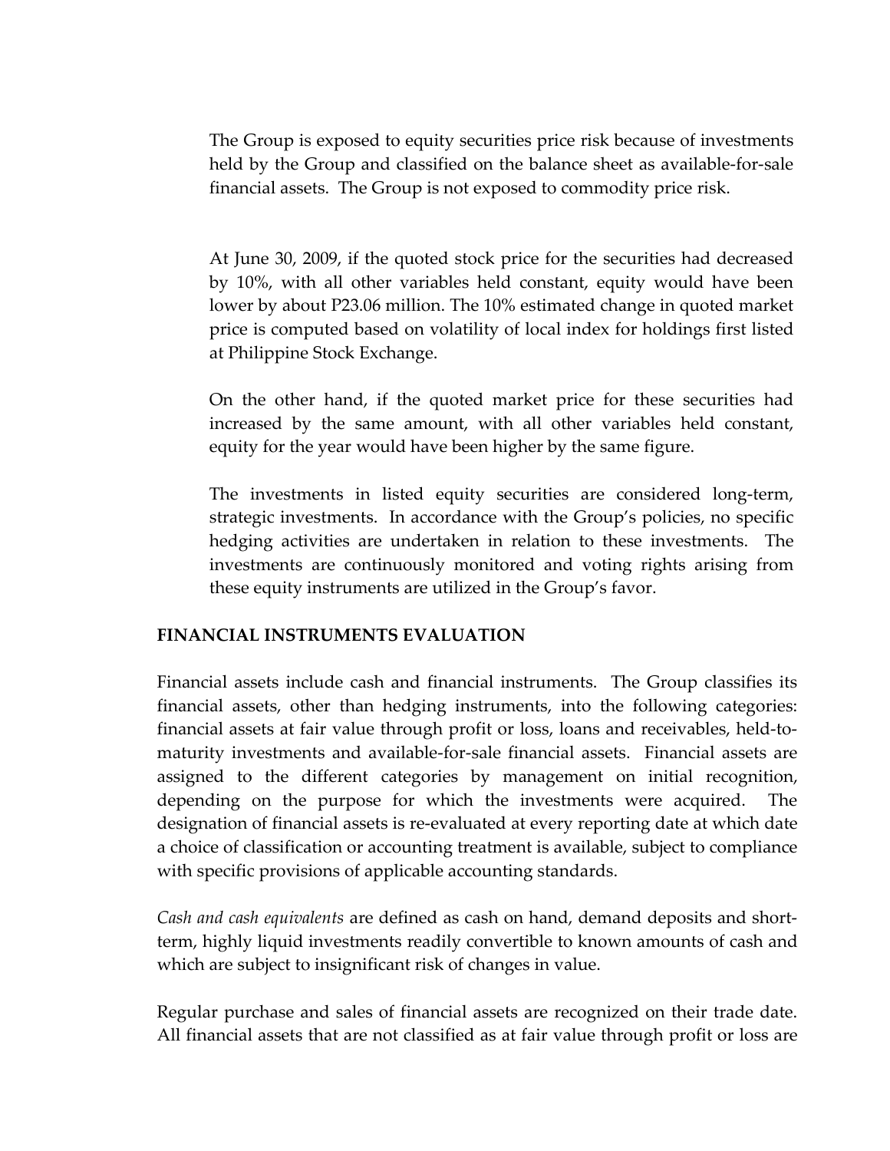The Group is exposed to equity securities price risk because of investments held by the Group and classified on the balance sheet as available-for-sale financial assets. The Group is not exposed to commodity price risk.

At June 30, 2009, if the quoted stock price for the securities had decreased by 10%, with all other variables held constant, equity would have been lower by about P23.06 million. The 10% estimated change in quoted market price is computed based on volatility of local index for holdings first listed at Philippine Stock Exchange.

On the other hand, if the quoted market price for these securities had increased by the same amount, with all other variables held constant, equity for the year would have been higher by the same figure.

The investments in listed equity securities are considered long-term, strategic investments. In accordance with the Group's policies, no specific hedging activities are undertaken in relation to these investments. The investments are continuously monitored and voting rights arising from these equity instruments are utilized in the Group's favor.

# **FINANCIAL INSTRUMENTS EVALUATION**

Financial assets include cash and financial instruments. The Group classifies its financial assets, other than hedging instruments, into the following categories: financial assets at fair value through profit or loss, loans and receivables, held-tomaturity investments and available-for-sale financial assets. Financial assets are assigned to the different categories by management on initial recognition, depending on the purpose for which the investments were acquired. The designation of financial assets is re-evaluated at every reporting date at which date a choice of classification or accounting treatment is available, subject to compliance with specific provisions of applicable accounting standards.

*Cash and cash equivalents* are defined as cash on hand, demand deposits and shortterm, highly liquid investments readily convertible to known amounts of cash and which are subject to insignificant risk of changes in value.

Regular purchase and sales of financial assets are recognized on their trade date. All financial assets that are not classified as at fair value through profit or loss are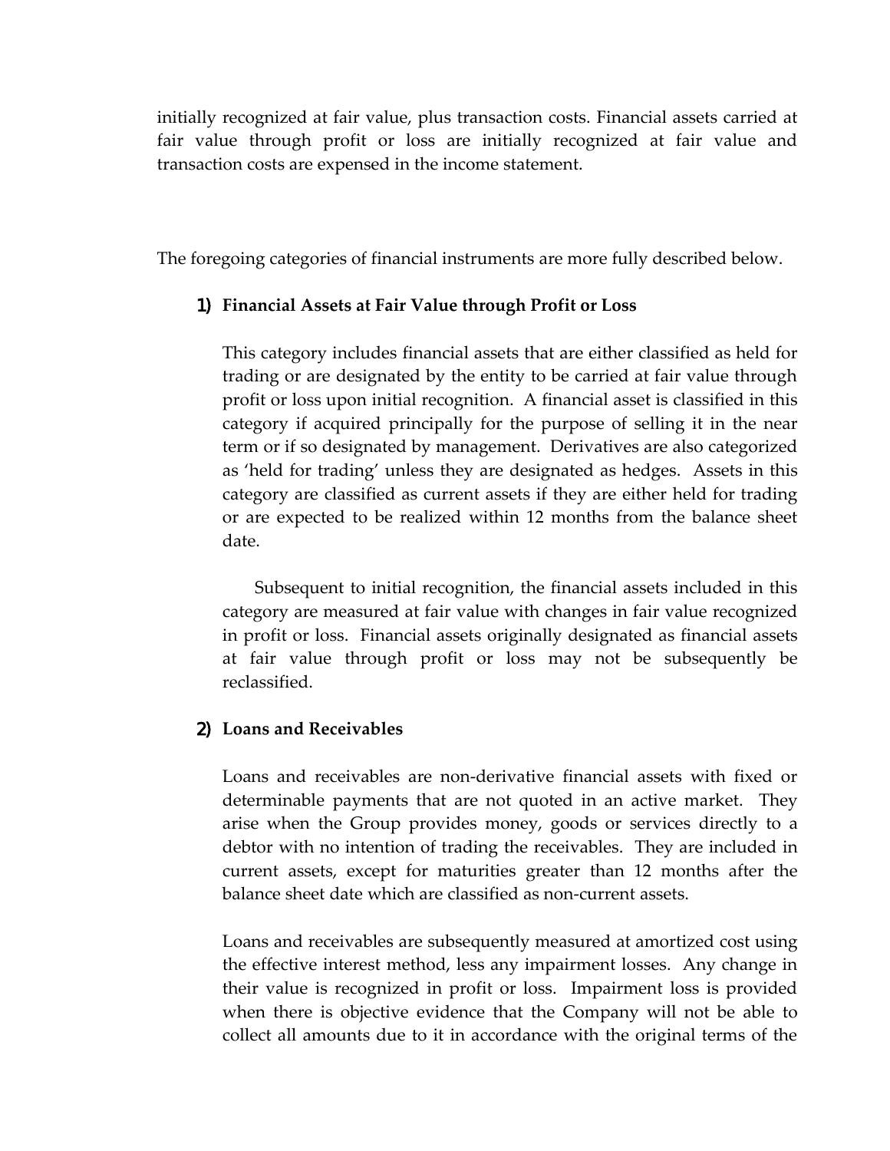initially recognized at fair value, plus transaction costs. Financial assets carried at fair value through profit or loss are initially recognized at fair value and transaction costs are expensed in the income statement.

The foregoing categories of financial instruments are more fully described below.

#### 1) **Financial Assets at Fair Value through Profit or Loss**

This category includes financial assets that are either classified as held for trading or are designated by the entity to be carried at fair value through profit or loss upon initial recognition. A financial asset is classified in this category if acquired principally for the purpose of selling it in the near term or if so designated by management. Derivatives are also categorized as 'held for trading' unless they are designated as hedges. Assets in this category are classified as current assets if they are either held for trading or are expected to be realized within 12 months from the balance sheet date.

Subsequent to initial recognition, the financial assets included in this category are measured at fair value with changes in fair value recognized in profit or loss. Financial assets originally designated as financial assets at fair value through profit or loss may not be subsequently be reclassified.

#### 2) **Loans and Receivables**

Loans and receivables are non-derivative financial assets with fixed or determinable payments that are not quoted in an active market. They arise when the Group provides money, goods or services directly to a debtor with no intention of trading the receivables. They are included in current assets, except for maturities greater than 12 months after the balance sheet date which are classified as non-current assets.

Loans and receivables are subsequently measured at amortized cost using the effective interest method, less any impairment losses. Any change in their value is recognized in profit or loss. Impairment loss is provided when there is objective evidence that the Company will not be able to collect all amounts due to it in accordance with the original terms of the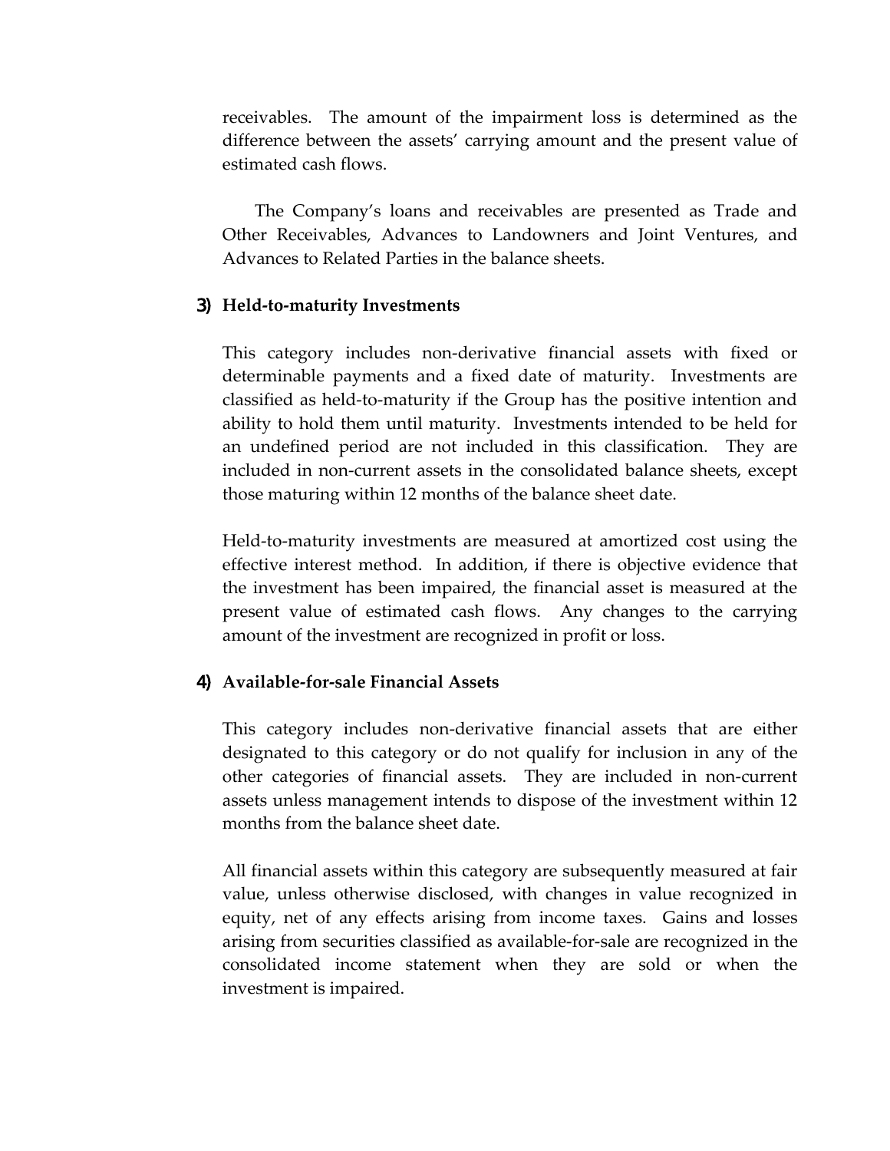receivables. The amount of the impairment loss is determined as the difference between the assets' carrying amount and the present value of estimated cash flows.

The Company's loans and receivables are presented as Trade and Other Receivables, Advances to Landowners and Joint Ventures, and Advances to Related Parties in the balance sheets.

#### 3) **Held-to-maturity Investments**

This category includes non-derivative financial assets with fixed or determinable payments and a fixed date of maturity. Investments are classified as held-to-maturity if the Group has the positive intention and ability to hold them until maturity. Investments intended to be held for an undefined period are not included in this classification. They are included in non-current assets in the consolidated balance sheets, except those maturing within 12 months of the balance sheet date.

Held-to-maturity investments are measured at amortized cost using the effective interest method. In addition, if there is objective evidence that the investment has been impaired, the financial asset is measured at the present value of estimated cash flows. Any changes to the carrying amount of the investment are recognized in profit or loss.

#### 4) **Available-for-sale Financial Assets**

This category includes non-derivative financial assets that are either designated to this category or do not qualify for inclusion in any of the other categories of financial assets. They are included in non-current assets unless management intends to dispose of the investment within 12 months from the balance sheet date.

All financial assets within this category are subsequently measured at fair value, unless otherwise disclosed, with changes in value recognized in equity, net of any effects arising from income taxes. Gains and losses arising from securities classified as available-for-sale are recognized in the consolidated income statement when they are sold or when the investment is impaired.